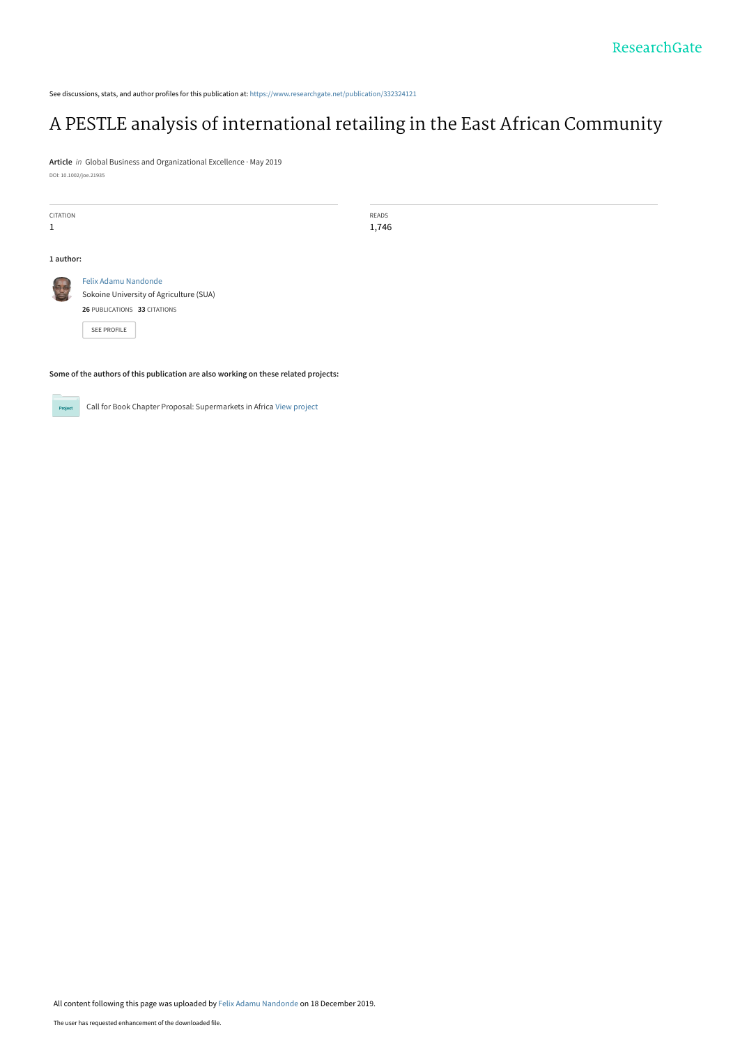See discussions, stats, and author profiles for this publication at: [https://www.researchgate.net/publication/332324121](https://www.researchgate.net/publication/332324121_A_PESTLE_analysis_of_international_retailing_in_the_East_African_Community?enrichId=rgreq-0c7daf053ca5ca211df4132026e253f5-XXX&enrichSource=Y292ZXJQYWdlOzMzMjMyNDEyMTtBUzo4Mzc0ODA1MzQyNjU4NThAMTU3NjY4MjMyNzM1OQ%3D%3D&el=1_x_2&_esc=publicationCoverPdf)

## [A PESTLE analysis of international retailing in the East African Community](https://www.researchgate.net/publication/332324121_A_PESTLE_analysis_of_international_retailing_in_the_East_African_Community?enrichId=rgreq-0c7daf053ca5ca211df4132026e253f5-XXX&enrichSource=Y292ZXJQYWdlOzMzMjMyNDEyMTtBUzo4Mzc0ODA1MzQyNjU4NThAMTU3NjY4MjMyNzM1OQ%3D%3D&el=1_x_3&_esc=publicationCoverPdf)

**Article** in Global Business and Organizational Excellence · May 2019 DOI: 10.1002/joe.21935

| READS                                                |  |  |  |
|------------------------------------------------------|--|--|--|
| 1,746                                                |  |  |  |
|                                                      |  |  |  |
|                                                      |  |  |  |
| Felix Adamu Nandonde                                 |  |  |  |
| <b>BA</b><br>Sokoine University of Agriculture (SUA) |  |  |  |
| 26 PUBLICATIONS 33 CITATIONS                         |  |  |  |
|                                                      |  |  |  |
|                                                      |  |  |  |
|                                                      |  |  |  |

**Some of the authors of this publication are also working on these related projects:**



Call for Book Chapter Proposal: Supermarkets in Africa [View project](https://www.researchgate.net/project/Call-for-Book-Chapter-Proposal-Supermarkets-in-Africa?enrichId=rgreq-0c7daf053ca5ca211df4132026e253f5-XXX&enrichSource=Y292ZXJQYWdlOzMzMjMyNDEyMTtBUzo4Mzc0ODA1MzQyNjU4NThAMTU3NjY4MjMyNzM1OQ%3D%3D&el=1_x_9&_esc=publicationCoverPdf)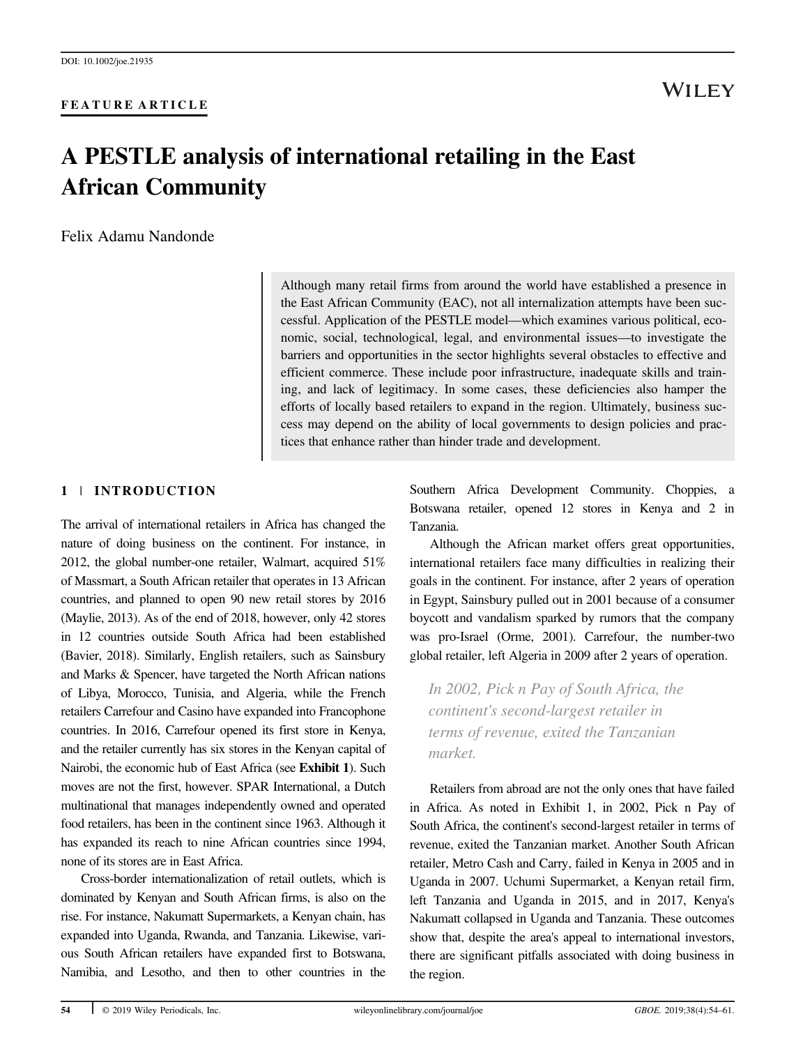#### FEATURE ARTICLE

### WILEY

## A PESTLE analysis of international retailing in the East African Community

Felix Adamu Nandonde

Although many retail firms from around the world have established a presence in the East African Community (EAC), not all internalization attempts have been successful. Application of the PESTLE model—which examines various political, economic, social, technological, legal, and environmental issues—to investigate the barriers and opportunities in the sector highlights several obstacles to effective and efficient commerce. These include poor infrastructure, inadequate skills and training, and lack of legitimacy. In some cases, these deficiencies also hamper the efforts of locally based retailers to expand in the region. Ultimately, business success may depend on the ability of local governments to design policies and practices that enhance rather than hinder trade and development.

#### 1 | INTRODUCTION

The arrival of international retailers in Africa has changed the nature of doing business on the continent. For instance, in 2012, the global number-one retailer, Walmart, acquired 51% of Massmart, a South African retailer that operates in 13 African countries, and planned to open 90 new retail stores by 2016 (Maylie, 2013). As of the end of 2018, however, only 42 stores in 12 countries outside South Africa had been established (Bavier, 2018). Similarly, English retailers, such as Sainsbury and Marks & Spencer, have targeted the North African nations of Libya, Morocco, Tunisia, and Algeria, while the French retailers Carrefour and Casino have expanded into Francophone countries. In 2016, Carrefour opened its first store in Kenya, and the retailer currently has six stores in the Kenyan capital of Nairobi, the economic hub of East Africa (see Exhibit 1). Such moves are not the first, however. SPAR International, a Dutch multinational that manages independently owned and operated food retailers, has been in the continent since 1963. Although it has expanded its reach to nine African countries since 1994, none of its stores are in East Africa.

Cross-border internationalization of retail outlets, which is dominated by Kenyan and South African firms, is also on the rise. For instance, Nakumatt Supermarkets, a Kenyan chain, has expanded into Uganda, Rwanda, and Tanzania. Likewise, various South African retailers have expanded first to Botswana, Namibia, and Lesotho, and then to other countries in the

Southern Africa Development Community. Choppies, a Botswana retailer, opened 12 stores in Kenya and 2 in Tanzania.

Although the African market offers great opportunities, international retailers face many difficulties in realizing their goals in the continent. For instance, after 2 years of operation in Egypt, Sainsbury pulled out in 2001 because of a consumer boycott and vandalism sparked by rumors that the company was pro-Israel (Orme, 2001). Carrefour, the number-two global retailer, left Algeria in 2009 after 2 years of operation.

In 2002, Pick n Pay of South Africa, the continent's second-largest retailer in terms of revenue, exited the Tanzanian market.

Retailers from abroad are not the only ones that have failed in Africa. As noted in Exhibit 1, in 2002, Pick n Pay of South Africa, the continent's second-largest retailer in terms of revenue, exited the Tanzanian market. Another South African retailer, Metro Cash and Carry, failed in Kenya in 2005 and in Uganda in 2007. Uchumi Supermarket, a Kenyan retail firm, left Tanzania and Uganda in 2015, and in 2017, Kenya's Nakumatt collapsed in Uganda and Tanzania. These outcomes show that, despite the area's appeal to international investors, there are significant pitfalls associated with doing business in the region.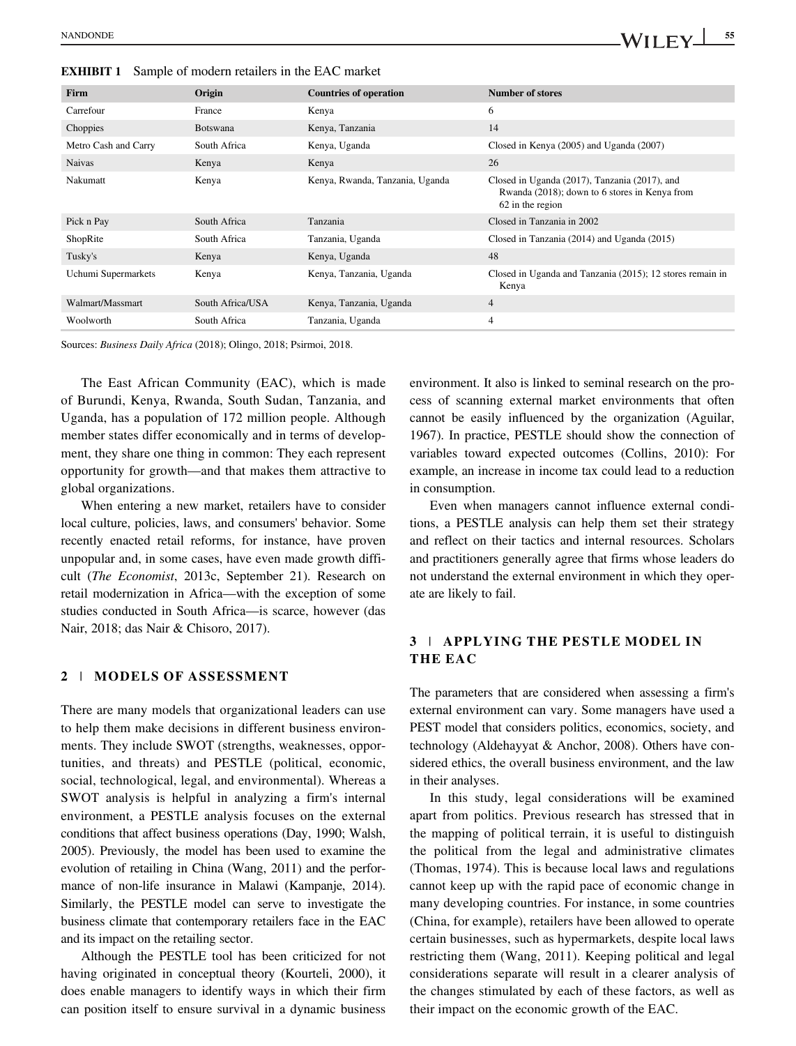EXHIBIT 1 Sample of modern retailers in the EAC market

| <b>Firm</b>          | Origin           | <b>Countries of operation</b>   | <b>Number of stores</b>                                                                                            |
|----------------------|------------------|---------------------------------|--------------------------------------------------------------------------------------------------------------------|
| Carrefour            | France           | Kenya                           | 6                                                                                                                  |
| Choppies             | <b>Botswana</b>  | Kenya, Tanzania                 | 14                                                                                                                 |
| Metro Cash and Carry | South Africa     | Kenya, Uganda                   | Closed in Kenya (2005) and Uganda (2007)                                                                           |
| <b>Naivas</b>        | Kenya            | Kenya                           | 26                                                                                                                 |
| Nakumatt             | Kenya            | Kenya, Rwanda, Tanzania, Uganda | Closed in Uganda (2017), Tanzania (2017), and<br>Rwanda (2018); down to 6 stores in Kenya from<br>62 in the region |
| Pick n Pay           | South Africa     | Tanzania                        | Closed in Tanzania in 2002                                                                                         |
| ShopRite             | South Africa     | Tanzania, Uganda                | Closed in Tanzania (2014) and Uganda (2015)                                                                        |
| Tusky's              | Kenya            | Kenya, Uganda                   | 48                                                                                                                 |
| Uchumi Supermarkets  | Kenya            | Kenya, Tanzania, Uganda         | Closed in Uganda and Tanzania (2015); 12 stores remain in<br>Kenya                                                 |
| Walmart/Massmart     | South Africa/USA | Kenya, Tanzania, Uganda         | 4                                                                                                                  |
| Woolworth            | South Africa     | Tanzania, Uganda                | 4                                                                                                                  |

Sources: Business Daily Africa (2018); Olingo, 2018; Psirmoi, 2018.

The East African Community (EAC), which is made of Burundi, Kenya, Rwanda, South Sudan, Tanzania, and Uganda, has a population of 172 million people. Although member states differ economically and in terms of development, they share one thing in common: They each represent opportunity for growth—and that makes them attractive to global organizations.

When entering a new market, retailers have to consider local culture, policies, laws, and consumers' behavior. Some recently enacted retail reforms, for instance, have proven unpopular and, in some cases, have even made growth difficult (The Economist, 2013c, September 21). Research on retail modernization in Africa—with the exception of some studies conducted in South Africa—is scarce, however (das Nair, 2018; das Nair & Chisoro, 2017).

#### 2 | MODELS OF ASSESSMENT

There are many models that organizational leaders can use to help them make decisions in different business environments. They include SWOT (strengths, weaknesses, opportunities, and threats) and PESTLE (political, economic, social, technological, legal, and environmental). Whereas a SWOT analysis is helpful in analyzing a firm's internal environment, a PESTLE analysis focuses on the external conditions that affect business operations (Day, 1990; Walsh, 2005). Previously, the model has been used to examine the evolution of retailing in China (Wang, 2011) and the performance of non-life insurance in Malawi (Kampanje, 2014). Similarly, the PESTLE model can serve to investigate the business climate that contemporary retailers face in the EAC and its impact on the retailing sector.

Although the PESTLE tool has been criticized for not having originated in conceptual theory (Kourteli, 2000), it does enable managers to identify ways in which their firm can position itself to ensure survival in a dynamic business environment. It also is linked to seminal research on the process of scanning external market environments that often cannot be easily influenced by the organization (Aguilar, 1967). In practice, PESTLE should show the connection of variables toward expected outcomes (Collins, 2010): For example, an increase in income tax could lead to a reduction in consumption.

Even when managers cannot influence external conditions, a PESTLE analysis can help them set their strategy and reflect on their tactics and internal resources. Scholars and practitioners generally agree that firms whose leaders do not understand the external environment in which they operate are likely to fail.

#### 3 | APPLYING THE PESTLE MODEL IN THE EAC

The parameters that are considered when assessing a firm's external environment can vary. Some managers have used a PEST model that considers politics, economics, society, and technology (Aldehayyat & Anchor, 2008). Others have considered ethics, the overall business environment, and the law in their analyses.

In this study, legal considerations will be examined apart from politics. Previous research has stressed that in the mapping of political terrain, it is useful to distinguish the political from the legal and administrative climates (Thomas, 1974). This is because local laws and regulations cannot keep up with the rapid pace of economic change in many developing countries. For instance, in some countries (China, for example), retailers have been allowed to operate certain businesses, such as hypermarkets, despite local laws restricting them (Wang, 2011). Keeping political and legal considerations separate will result in a clearer analysis of the changes stimulated by each of these factors, as well as their impact on the economic growth of the EAC.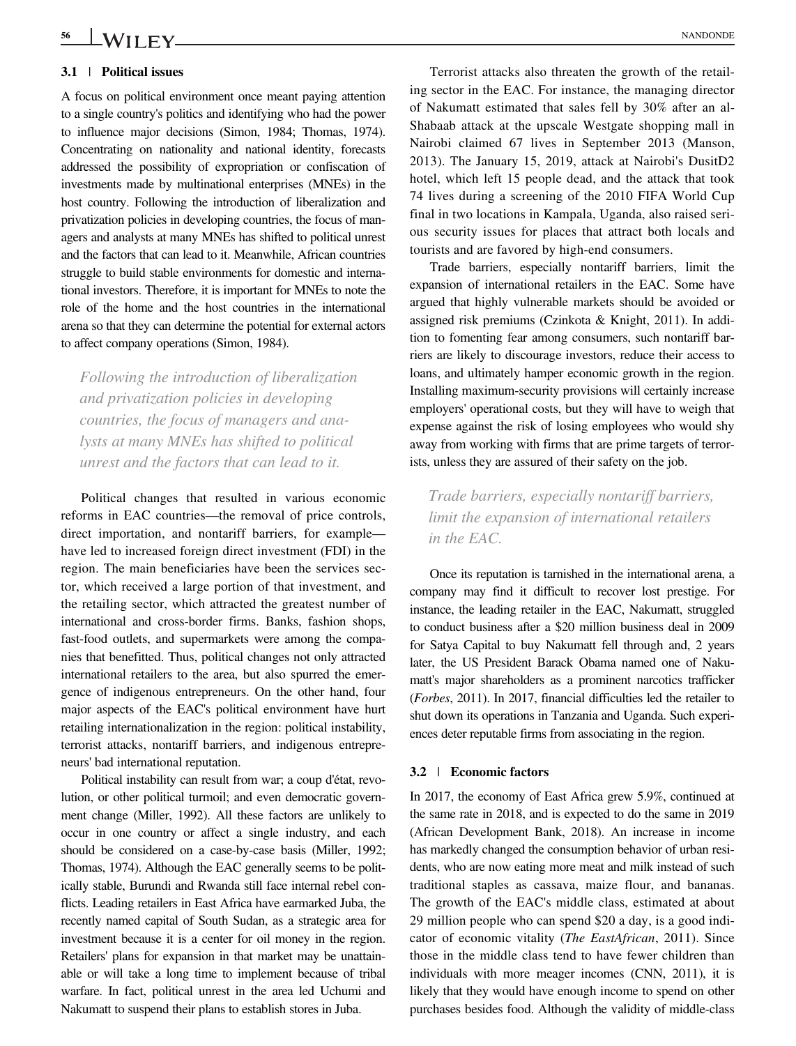# <u>56 WILEY</u> MANDONDE

#### 3.1 | Political issues

A focus on political environment once meant paying attention to a single country's politics and identifying who had the power to influence major decisions (Simon, 1984; Thomas, 1974). Concentrating on nationality and national identity, forecasts addressed the possibility of expropriation or confiscation of investments made by multinational enterprises (MNEs) in the host country. Following the introduction of liberalization and privatization policies in developing countries, the focus of managers and analysts at many MNEs has shifted to political unrest and the factors that can lead to it. Meanwhile, African countries struggle to build stable environments for domestic and international investors. Therefore, it is important for MNEs to note the role of the home and the host countries in the international arena so that they can determine the potential for external actors to affect company operations (Simon, 1984).

Following the introduction of liberalization and privatization policies in developing countries, the focus of managers and analysts at many MNEs has shifted to political unrest and the factors that can lead to it.

Political changes that resulted in various economic reforms in EAC countries—the removal of price controls, direct importation, and nontariff barriers, for example have led to increased foreign direct investment (FDI) in the region. The main beneficiaries have been the services sector, which received a large portion of that investment, and the retailing sector, which attracted the greatest number of international and cross-border firms. Banks, fashion shops, fast-food outlets, and supermarkets were among the companies that benefitted. Thus, political changes not only attracted international retailers to the area, but also spurred the emergence of indigenous entrepreneurs. On the other hand, four major aspects of the EAC's political environment have hurt retailing internationalization in the region: political instability, terrorist attacks, nontariff barriers, and indigenous entrepreneurs' bad international reputation.

Political instability can result from war; a coup d'état, revolution, or other political turmoil; and even democratic government change (Miller, 1992). All these factors are unlikely to occur in one country or affect a single industry, and each should be considered on a case-by-case basis (Miller, 1992; Thomas, 1974). Although the EAC generally seems to be politically stable, Burundi and Rwanda still face internal rebel conflicts. Leading retailers in East Africa have earmarked Juba, the recently named capital of South Sudan, as a strategic area for investment because it is a center for oil money in the region. Retailers' plans for expansion in that market may be unattainable or will take a long time to implement because of tribal warfare. In fact, political unrest in the area led Uchumi and Nakumatt to suspend their plans to establish stores in Juba.

Terrorist attacks also threaten the growth of the retailing sector in the EAC. For instance, the managing director of Nakumatt estimated that sales fell by 30% after an al-Shabaab attack at the upscale Westgate shopping mall in Nairobi claimed 67 lives in September 2013 (Manson, 2013). The January 15, 2019, attack at Nairobi's DusitD2 hotel, which left 15 people dead, and the attack that took 74 lives during a screening of the 2010 FIFA World Cup final in two locations in Kampala, Uganda, also raised serious security issues for places that attract both locals and tourists and are favored by high-end consumers.

Trade barriers, especially nontariff barriers, limit the expansion of international retailers in the EAC. Some have argued that highly vulnerable markets should be avoided or assigned risk premiums (Czinkota & Knight, 2011). In addition to fomenting fear among consumers, such nontariff barriers are likely to discourage investors, reduce their access to loans, and ultimately hamper economic growth in the region. Installing maximum-security provisions will certainly increase employers' operational costs, but they will have to weigh that expense against the risk of losing employees who would shy away from working with firms that are prime targets of terrorists, unless they are assured of their safety on the job.

Trade barriers, especially nontariff barriers, limit the expansion of international retailers in the EAC.

Once its reputation is tarnished in the international arena, a company may find it difficult to recover lost prestige. For instance, the leading retailer in the EAC, Nakumatt, struggled to conduct business after a \$20 million business deal in 2009 for Satya Capital to buy Nakumatt fell through and, 2 years later, the US President Barack Obama named one of Nakumatt's major shareholders as a prominent narcotics trafficker (Forbes, 2011). In 2017, financial difficulties led the retailer to shut down its operations in Tanzania and Uganda. Such experiences deter reputable firms from associating in the region.

#### 3.2 | Economic factors

In 2017, the economy of East Africa grew 5.9%, continued at the same rate in 2018, and is expected to do the same in 2019 (African Development Bank, 2018). An increase in income has markedly changed the consumption behavior of urban residents, who are now eating more meat and milk instead of such traditional staples as cassava, maize flour, and bananas. The growth of the EAC's middle class, estimated at about 29 million people who can spend \$20 a day, is a good indicator of economic vitality (The EastAfrican, 2011). Since those in the middle class tend to have fewer children than individuals with more meager incomes (CNN, 2011), it is likely that they would have enough income to spend on other purchases besides food. Although the validity of middle-class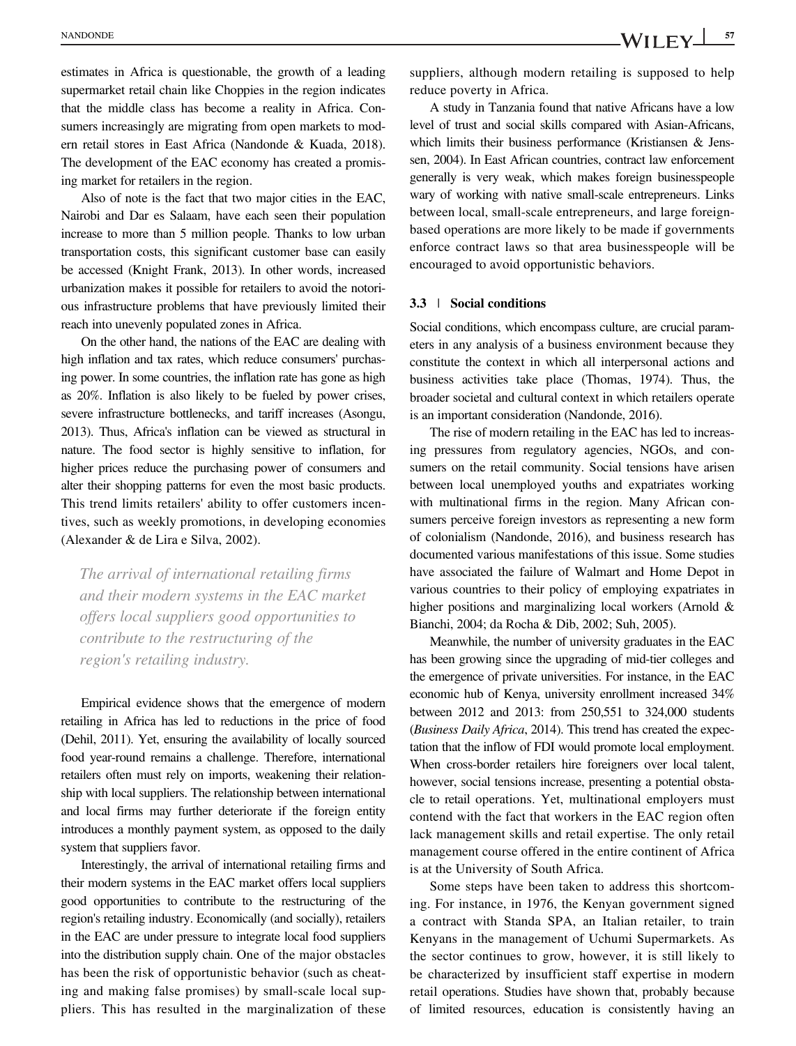estimates in Africa is questionable, the growth of a leading supermarket retail chain like Choppies in the region indicates that the middle class has become a reality in Africa. Consumers increasingly are migrating from open markets to modern retail stores in East Africa (Nandonde & Kuada, 2018). The development of the EAC economy has created a promising market for retailers in the region.

Also of note is the fact that two major cities in the EAC, Nairobi and Dar es Salaam, have each seen their population increase to more than 5 million people. Thanks to low urban transportation costs, this significant customer base can easily be accessed (Knight Frank, 2013). In other words, increased urbanization makes it possible for retailers to avoid the notorious infrastructure problems that have previously limited their reach into unevenly populated zones in Africa.

On the other hand, the nations of the EAC are dealing with high inflation and tax rates, which reduce consumers' purchasing power. In some countries, the inflation rate has gone as high as 20%. Inflation is also likely to be fueled by power crises, severe infrastructure bottlenecks, and tariff increases (Asongu, 2013). Thus, Africa's inflation can be viewed as structural in nature. The food sector is highly sensitive to inflation, for higher prices reduce the purchasing power of consumers and alter their shopping patterns for even the most basic products. This trend limits retailers' ability to offer customers incentives, such as weekly promotions, in developing economies (Alexander & de Lira e Silva, 2002).

The arrival of international retailing firms and their modern systems in the EAC market offers local suppliers good opportunities to contribute to the restructuring of the region's retailing industry.

Empirical evidence shows that the emergence of modern retailing in Africa has led to reductions in the price of food (Dehil, 2011). Yet, ensuring the availability of locally sourced food year-round remains a challenge. Therefore, international retailers often must rely on imports, weakening their relationship with local suppliers. The relationship between international and local firms may further deteriorate if the foreign entity introduces a monthly payment system, as opposed to the daily system that suppliers favor.

Interestingly, the arrival of international retailing firms and their modern systems in the EAC market offers local suppliers good opportunities to contribute to the restructuring of the region's retailing industry. Economically (and socially), retailers in the EAC are under pressure to integrate local food suppliers into the distribution supply chain. One of the major obstacles has been the risk of opportunistic behavior (such as cheating and making false promises) by small-scale local suppliers. This has resulted in the marginalization of these suppliers, although modern retailing is supposed to help reduce poverty in Africa.

A study in Tanzania found that native Africans have a low level of trust and social skills compared with Asian-Africans, which limits their business performance (Kristiansen & Jenssen, 2004). In East African countries, contract law enforcement generally is very weak, which makes foreign businesspeople wary of working with native small-scale entrepreneurs. Links between local, small-scale entrepreneurs, and large foreignbased operations are more likely to be made if governments enforce contract laws so that area businesspeople will be encouraged to avoid opportunistic behaviors.

#### 3.3 | Social conditions

Social conditions, which encompass culture, are crucial parameters in any analysis of a business environment because they constitute the context in which all interpersonal actions and business activities take place (Thomas, 1974). Thus, the broader societal and cultural context in which retailers operate is an important consideration (Nandonde, 2016).

The rise of modern retailing in the EAC has led to increasing pressures from regulatory agencies, NGOs, and consumers on the retail community. Social tensions have arisen between local unemployed youths and expatriates working with multinational firms in the region. Many African consumers perceive foreign investors as representing a new form of colonialism (Nandonde, 2016), and business research has documented various manifestations of this issue. Some studies have associated the failure of Walmart and Home Depot in various countries to their policy of employing expatriates in higher positions and marginalizing local workers (Arnold & Bianchi, 2004; da Rocha & Dib, 2002; Suh, 2005).

Meanwhile, the number of university graduates in the EAC has been growing since the upgrading of mid-tier colleges and the emergence of private universities. For instance, in the EAC economic hub of Kenya, university enrollment increased 34% between 2012 and 2013: from 250,551 to 324,000 students (Business Daily Africa, 2014). This trend has created the expectation that the inflow of FDI would promote local employment. When cross-border retailers hire foreigners over local talent, however, social tensions increase, presenting a potential obstacle to retail operations. Yet, multinational employers must contend with the fact that workers in the EAC region often lack management skills and retail expertise. The only retail management course offered in the entire continent of Africa is at the University of South Africa.

Some steps have been taken to address this shortcoming. For instance, in 1976, the Kenyan government signed a contract with Standa SPA, an Italian retailer, to train Kenyans in the management of Uchumi Supermarkets. As the sector continues to grow, however, it is still likely to be characterized by insufficient staff expertise in modern retail operations. Studies have shown that, probably because of limited resources, education is consistently having an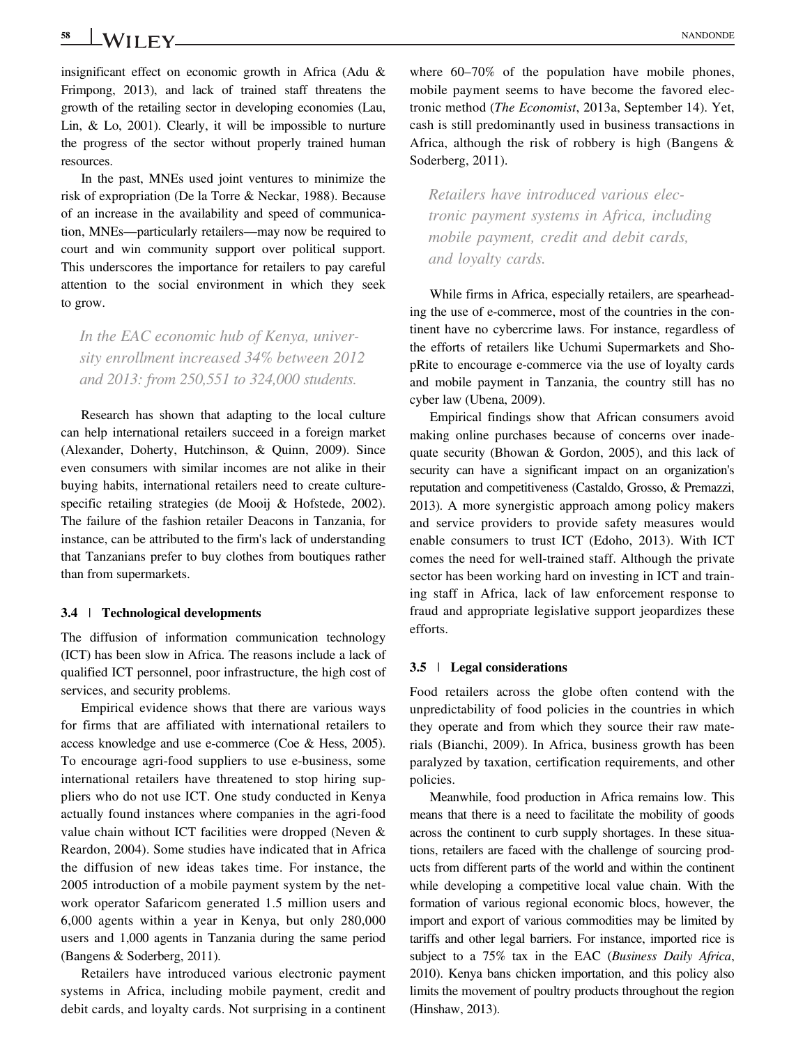### 58 WII FY NANDONDE

insignificant effect on economic growth in Africa (Adu & Frimpong, 2013), and lack of trained staff threatens the growth of the retailing sector in developing economies (Lau, Lin, & Lo, 2001). Clearly, it will be impossible to nurture the progress of the sector without properly trained human resources.

In the past, MNEs used joint ventures to minimize the risk of expropriation (De la Torre & Neckar, 1988). Because of an increase in the availability and speed of communication, MNEs—particularly retailers—may now be required to court and win community support over political support. This underscores the importance for retailers to pay careful attention to the social environment in which they seek to grow.

In the EAC economic hub of Kenya, university enrollment increased 34% between 2012 and 2013: from 250,551 to 324,000 students.

Research has shown that adapting to the local culture can help international retailers succeed in a foreign market (Alexander, Doherty, Hutchinson, & Quinn, 2009). Since even consumers with similar incomes are not alike in their buying habits, international retailers need to create culturespecific retailing strategies (de Mooij & Hofstede, 2002). The failure of the fashion retailer Deacons in Tanzania, for instance, can be attributed to the firm's lack of understanding that Tanzanians prefer to buy clothes from boutiques rather than from supermarkets.

#### 3.4 | Technological developments

The diffusion of information communication technology (ICT) has been slow in Africa. The reasons include a lack of qualified ICT personnel, poor infrastructure, the high cost of services, and security problems.

Empirical evidence shows that there are various ways for firms that are affiliated with international retailers to access knowledge and use e-commerce (Coe & Hess, 2005). To encourage agri-food suppliers to use e-business, some international retailers have threatened to stop hiring suppliers who do not use ICT. One study conducted in Kenya actually found instances where companies in the agri-food value chain without ICT facilities were dropped (Neven & Reardon, 2004). Some studies have indicated that in Africa the diffusion of new ideas takes time. For instance, the 2005 introduction of a mobile payment system by the network operator Safaricom generated 1.5 million users and 6,000 agents within a year in Kenya, but only 280,000 users and 1,000 agents in Tanzania during the same period (Bangens & Soderberg, 2011).

Retailers have introduced various electronic payment systems in Africa, including mobile payment, credit and debit cards, and loyalty cards. Not surprising in a continent where  $60-70\%$  of the population have mobile phones, mobile payment seems to have become the favored electronic method (The Economist, 2013a, September 14). Yet, cash is still predominantly used in business transactions in Africa, although the risk of robbery is high (Bangens & Soderberg, 2011).

Retailers have introduced various electronic payment systems in Africa, including mobile payment, credit and debit cards, and loyalty cards.

While firms in Africa, especially retailers, are spearheading the use of e-commerce, most of the countries in the continent have no cybercrime laws. For instance, regardless of the efforts of retailers like Uchumi Supermarkets and ShopRite to encourage e-commerce via the use of loyalty cards and mobile payment in Tanzania, the country still has no cyber law (Ubena, 2009).

Empirical findings show that African consumers avoid making online purchases because of concerns over inadequate security (Bhowan & Gordon, 2005), and this lack of security can have a significant impact on an organization's reputation and competitiveness (Castaldo, Grosso, & Premazzi, 2013). A more synergistic approach among policy makers and service providers to provide safety measures would enable consumers to trust ICT (Edoho, 2013). With ICT comes the need for well-trained staff. Although the private sector has been working hard on investing in ICT and training staff in Africa, lack of law enforcement response to fraud and appropriate legislative support jeopardizes these efforts.

#### 3.5 | Legal considerations

Food retailers across the globe often contend with the unpredictability of food policies in the countries in which they operate and from which they source their raw materials (Bianchi, 2009). In Africa, business growth has been paralyzed by taxation, certification requirements, and other policies.

Meanwhile, food production in Africa remains low. This means that there is a need to facilitate the mobility of goods across the continent to curb supply shortages. In these situations, retailers are faced with the challenge of sourcing products from different parts of the world and within the continent while developing a competitive local value chain. With the formation of various regional economic blocs, however, the import and export of various commodities may be limited by tariffs and other legal barriers. For instance, imported rice is subject to a 75% tax in the EAC (Business Daily Africa, 2010). Kenya bans chicken importation, and this policy also limits the movement of poultry products throughout the region (Hinshaw, 2013).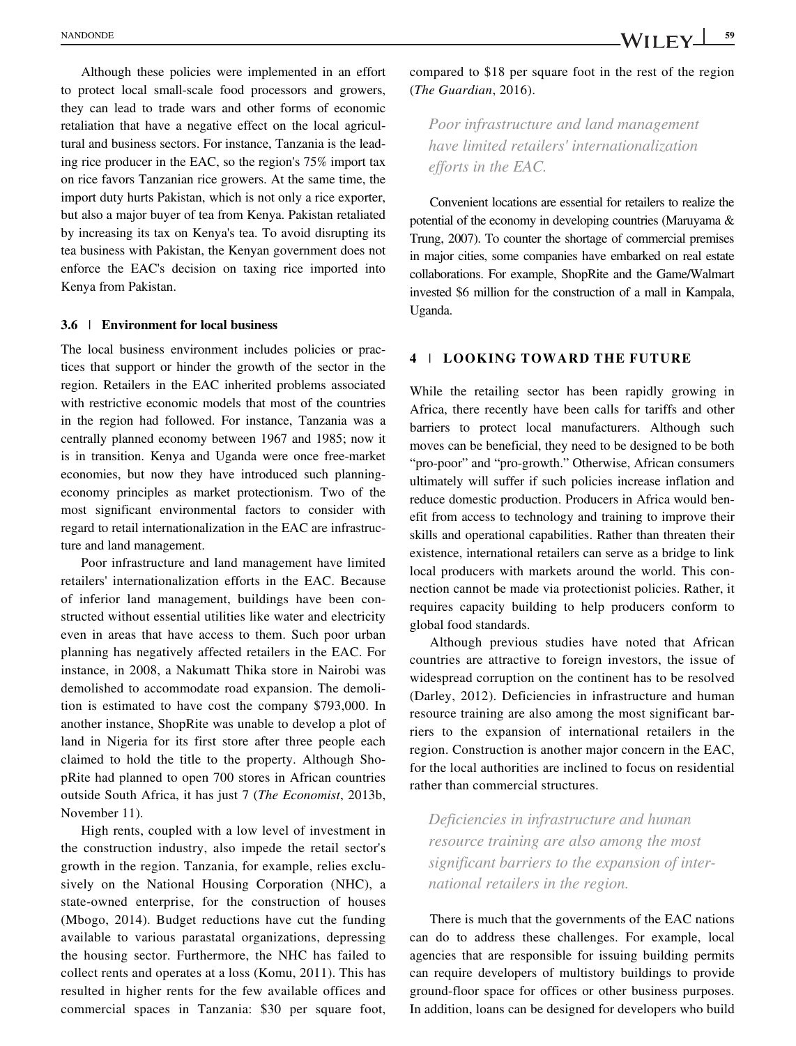Although these policies were implemented in an effort to protect local small-scale food processors and growers, they can lead to trade wars and other forms of economic retaliation that have a negative effect on the local agricultural and business sectors. For instance, Tanzania is the leading rice producer in the EAC, so the region's 75% import tax on rice favors Tanzanian rice growers. At the same time, the import duty hurts Pakistan, which is not only a rice exporter, but also a major buyer of tea from Kenya. Pakistan retaliated by increasing its tax on Kenya's tea. To avoid disrupting its tea business with Pakistan, the Kenyan government does not enforce the EAC's decision on taxing rice imported into Kenya from Pakistan.

#### 3.6 | Environment for local business

The local business environment includes policies or practices that support or hinder the growth of the sector in the region. Retailers in the EAC inherited problems associated with restrictive economic models that most of the countries in the region had followed. For instance, Tanzania was a centrally planned economy between 1967 and 1985; now it is in transition. Kenya and Uganda were once free-market economies, but now they have introduced such planningeconomy principles as market protectionism. Two of the most significant environmental factors to consider with regard to retail internationalization in the EAC are infrastructure and land management.

Poor infrastructure and land management have limited retailers' internationalization efforts in the EAC. Because of inferior land management, buildings have been constructed without essential utilities like water and electricity even in areas that have access to them. Such poor urban planning has negatively affected retailers in the EAC. For instance, in 2008, a Nakumatt Thika store in Nairobi was demolished to accommodate road expansion. The demolition is estimated to have cost the company \$793,000. In another instance, ShopRite was unable to develop a plot of land in Nigeria for its first store after three people each claimed to hold the title to the property. Although ShopRite had planned to open 700 stores in African countries outside South Africa, it has just 7 (The Economist, 2013b, November 11).

High rents, coupled with a low level of investment in the construction industry, also impede the retail sector's growth in the region. Tanzania, for example, relies exclusively on the National Housing Corporation (NHC), a state-owned enterprise, for the construction of houses (Mbogo, 2014). Budget reductions have cut the funding available to various parastatal organizations, depressing the housing sector. Furthermore, the NHC has failed to collect rents and operates at a loss (Komu, 2011). This has resulted in higher rents for the few available offices and commercial spaces in Tanzania: \$30 per square foot, compared to \$18 per square foot in the rest of the region (The Guardian, 2016).

Poor infrastructure and land management have limited retailers' internationalization efforts in the EAC.

Convenient locations are essential for retailers to realize the potential of the economy in developing countries (Maruyama & Trung, 2007). To counter the shortage of commercial premises in major cities, some companies have embarked on real estate collaborations. For example, ShopRite and the Game/Walmart invested \$6 million for the construction of a mall in Kampala, Uganda.

#### 4 | LOOKING TOWARD THE FUTURE

While the retailing sector has been rapidly growing in Africa, there recently have been calls for tariffs and other barriers to protect local manufacturers. Although such moves can be beneficial, they need to be designed to be both "pro-poor" and "pro-growth." Otherwise, African consumers ultimately will suffer if such policies increase inflation and reduce domestic production. Producers in Africa would benefit from access to technology and training to improve their skills and operational capabilities. Rather than threaten their existence, international retailers can serve as a bridge to link local producers with markets around the world. This connection cannot be made via protectionist policies. Rather, it requires capacity building to help producers conform to global food standards.

Although previous studies have noted that African countries are attractive to foreign investors, the issue of widespread corruption on the continent has to be resolved (Darley, 2012). Deficiencies in infrastructure and human resource training are also among the most significant barriers to the expansion of international retailers in the region. Construction is another major concern in the EAC, for the local authorities are inclined to focus on residential rather than commercial structures.

Deficiencies in infrastructure and human resource training are also among the most significant barriers to the expansion of international retailers in the region.

There is much that the governments of the EAC nations can do to address these challenges. For example, local agencies that are responsible for issuing building permits can require developers of multistory buildings to provide ground-floor space for offices or other business purposes. In addition, loans can be designed for developers who build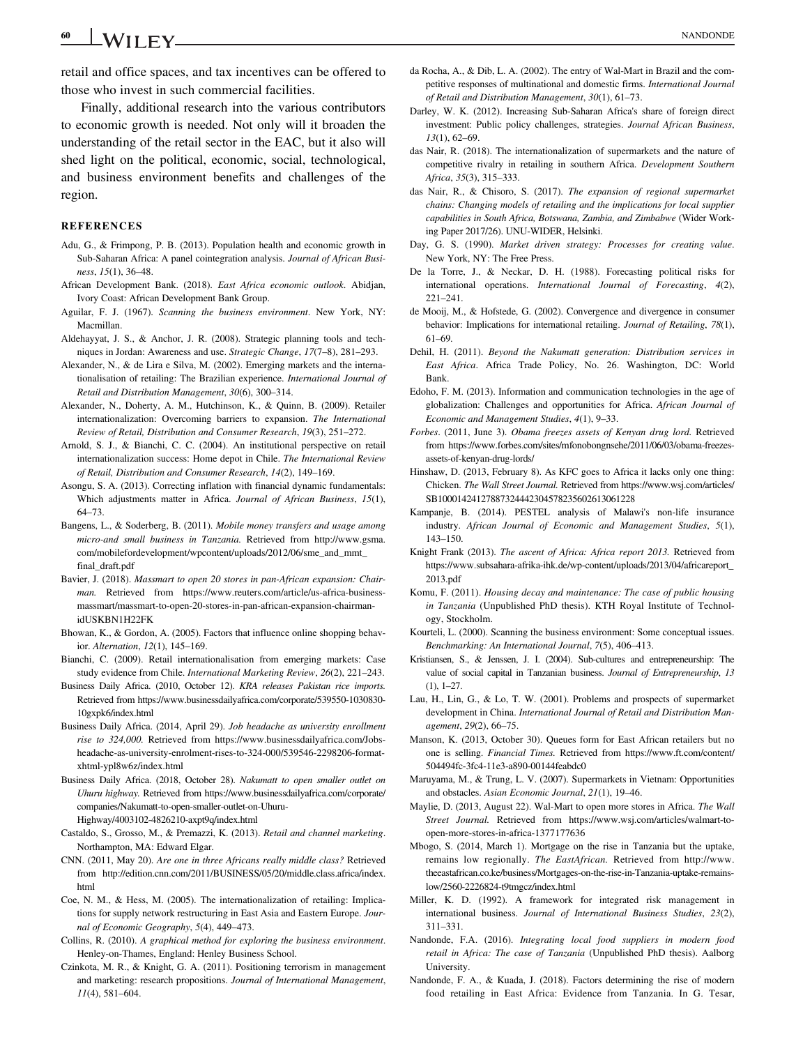retail and office spaces, and tax incentives can be offered to those who invest in such commercial facilities.

Finally, additional research into the various contributors to economic growth is needed. Not only will it broaden the understanding of the retail sector in the EAC, but it also will shed light on the political, economic, social, technological, and business environment benefits and challenges of the region.

#### **REFERENCES**

- Adu, G., & Frimpong, P. B. (2013). Population health and economic growth in Sub-Saharan Africa: A panel cointegration analysis. Journal of African Business, 15(1), 36–48.
- African Development Bank. (2018). East Africa economic outlook. Abidjan, Ivory Coast: African Development Bank Group.
- Aguilar, F. J. (1967). Scanning the business environment. New York, NY: Macmillan.
- Aldehayyat, J. S., & Anchor, J. R. (2008). Strategic planning tools and techniques in Jordan: Awareness and use. Strategic Change, 17(7–8), 281–293.
- Alexander, N., & de Lira e Silva, M. (2002). Emerging markets and the internationalisation of retailing: The Brazilian experience. International Journal of Retail and Distribution Management, 30(6), 300–314.
- Alexander, N., Doherty, A. M., Hutchinson, K., & Quinn, B. (2009). Retailer internationalization: Overcoming barriers to expansion. The International Review of Retail, Distribution and Consumer Research, 19(3), 251–272.
- Arnold, S. J., & Bianchi, C. C. (2004). An institutional perspective on retail internationalization success: Home depot in Chile. The International Review of Retail, Distribution and Consumer Research, 14(2), 149–169.
- Asongu, S. A. (2013). Correcting inflation with financial dynamic fundamentals: Which adjustments matter in Africa. Journal of African Business, 15(1), 64–73.
- Bangens, L., & Soderberg, B. (2011). Mobile money transfers and usage among micro-and small business in Tanzania. Retrieved from [http://www.gsma.](http://www.gsma.com/mobilefordevelopment/wpcontent/uploads/2012/06/sme_and_mmt_final_draft.pdf) [com/mobilefordevelopment/wpcontent/uploads/2012/06/sme\\_and\\_mmt\\_](http://www.gsma.com/mobilefordevelopment/wpcontent/uploads/2012/06/sme_and_mmt_final_draft.pdf) [final\\_draft.pdf](http://www.gsma.com/mobilefordevelopment/wpcontent/uploads/2012/06/sme_and_mmt_final_draft.pdf)
- Bavier, J. (2018). Massmart to open 20 stores in pan-African expansion: Chairman. Retrieved from [https://www.reuters.com/article/us-africa-business](https://www.reuters.com/article/us-africa-business-massmart/massmart-to-open-20-stores-in-pan-african-expansion-chairman-idUSKBN1H22FK)[massmart/massmart-to-open-20-stores-in-pan-african-expansion-chairman](https://www.reuters.com/article/us-africa-business-massmart/massmart-to-open-20-stores-in-pan-african-expansion-chairman-idUSKBN1H22FK)[idUSKBN1H22FK](https://www.reuters.com/article/us-africa-business-massmart/massmart-to-open-20-stores-in-pan-african-expansion-chairman-idUSKBN1H22FK)
- Bhowan, K., & Gordon, A. (2005). Factors that influence online shopping behavior. Alternation, 12(1), 145–169.
- Bianchi, C. (2009). Retail internationalisation from emerging markets: Case study evidence from Chile. International Marketing Review, 26(2), 221–243.
- Business Daily Africa. (2010, October 12). KRA releases Pakistan rice imports. Retrieved from [https://www.businessdailyafrica.com/corporate/539550-1030830-](https://www.businessdailyafrica.com/corporate/539550-1030830-10gxpk6/index.html) [10gxpk6/index.html](https://www.businessdailyafrica.com/corporate/539550-1030830-10gxpk6/index.html)
- Business Daily Africa. (2014, April 29). Job headache as university enrollment rise to 324,000. Retrieved from [https://www.businessdailyafrica.com/Jobs](https://www.businessdailyafrica.com/Jobs-headache-as-university-enrolment-rises-to-324-000/539546-2298206-format-xhtml-ypl8w6z/index.html)[headache-as-university-enrolment-rises-to-324-000/539546-2298206-format](https://www.businessdailyafrica.com/Jobs-headache-as-university-enrolment-rises-to-324-000/539546-2298206-format-xhtml-ypl8w6z/index.html)[xhtml-ypl8w6z/index.html](https://www.businessdailyafrica.com/Jobs-headache-as-university-enrolment-rises-to-324-000/539546-2298206-format-xhtml-ypl8w6z/index.html)
- Business Daily Africa. (2018, October 28). Nakumatt to open smaller outlet on Uhuru highway. Retrieved from [https://www.businessdailyafrica.com/corporate/](https://www.businessdailyafrica.com/corporate/companies/Nakumatt-to-open-smaller-outlet-on-Uhuru-Highway/4003102-4826210-axpt9q/index.html) [companies/Nakumatt-to-open-smaller-outlet-on-Uhuru-](https://www.businessdailyafrica.com/corporate/companies/Nakumatt-to-open-smaller-outlet-on-Uhuru-Highway/4003102-4826210-axpt9q/index.html)[Highway/4003102-4826210-axpt9q/index.html](https://www.businessdailyafrica.com/corporate/companies/Nakumatt-to-open-smaller-outlet-on-Uhuru-Highway/4003102-4826210-axpt9q/index.html)
- Castaldo, S., Grosso, M., & Premazzi, K. (2013). Retail and channel marketing. Northampton, MA: Edward Elgar.
- CNN. (2011, May 20). Are one in three Africans really middle class? Retrieved from [http://edition.cnn.com/2011/BUSINESS/05/20/middle.class.africa/index.](http://edition.cnn.com/2011/BUSINESS/05/20/middle.class.africa/index.html) [html](http://edition.cnn.com/2011/BUSINESS/05/20/middle.class.africa/index.html)
- Coe, N. M., & Hess, M. (2005). The internationalization of retailing: Implications for supply network restructuring in East Asia and Eastern Europe. Journal of Economic Geography, 5(4), 449–473.
- Collins, R. (2010). A graphical method for exploring the business environment. Henley-on-Thames, England: Henley Business School.
- Czinkota, M. R., & Knight, G. A. (2011). Positioning terrorism in management and marketing: research propositions. Journal of International Management, 11(4), 581–604.
- da Rocha, A., & Dib, L. A. (2002). The entry of Wal-Mart in Brazil and the competitive responses of multinational and domestic firms. International Journal of Retail and Distribution Management, 30(1), 61–73.
- Darley, W. K. (2012). Increasing Sub-Saharan Africa's share of foreign direct investment: Public policy challenges, strategies. Journal African Business, 13(1), 62–69.
- das Nair, R. (2018). The internationalization of supermarkets and the nature of competitive rivalry in retailing in southern Africa. Development Southern Africa, 35(3), 315–333.
- das Nair, R., & Chisoro, S. (2017). The expansion of regional supermarket chains: Changing models of retailing and the implications for local supplier capabilities in South Africa, Botswana, Zambia, and Zimbabwe (Wider Working Paper 2017/26). UNU-WIDER, Helsinki.
- Day, G. S. (1990). Market driven strategy: Processes for creating value. New York, NY: The Free Press.
- De la Torre, J., & Neckar, D. H. (1988). Forecasting political risks for international operations. International Journal of Forecasting, 4(2), 221–241.
- de Mooij, M., & Hofstede, G. (2002). Convergence and divergence in consumer behavior: Implications for international retailing. Journal of Retailing, 78(1), 61–69.
- Dehil, H. (2011). Beyond the Nakumatt generation: Distribution services in East Africa. Africa Trade Policy, No. 26. Washington, DC: World Bank.
- Edoho, F. M. (2013). Information and communication technologies in the age of globalization: Challenges and opportunities for Africa. African Journal of Economic and Management Studies, 4(1), 9–33.
- Forbes. (2011, June 3). Obama freezes assets of Kenyan drug lord. Retrieved from [https://www.forbes.com/sites/mfonobongnsehe/2011/06/03/obama-freezes](https://www.forbes.com/sites/mfonobongnsehe/2011/06/03/obama-freezes-assets-of-kenyan-drug-lords/)[assets-of-kenyan-drug-lords/](https://www.forbes.com/sites/mfonobongnsehe/2011/06/03/obama-freezes-assets-of-kenyan-drug-lords/)
- Hinshaw, D. (2013, February 8). As KFC goes to Africa it lacks only one thing: Chicken. The Wall Street Journal. Retrieved from [https://www.wsj.com/articles/](https://www.wsj.com/articles/SB10001424127887324442304578235602613061228) [SB10001424127887324442304578235602613061228](https://www.wsj.com/articles/SB10001424127887324442304578235602613061228)
- Kampanje, B. (2014). PESTEL analysis of Malawi's non-life insurance industry. African Journal of Economic and Management Studies, 5(1), 143–150.
- Knight Frank (2013). The ascent of Africa: Africa report 2013. Retrieved from [https://www.subsahara-afrika-ihk.de/wp-content/uploads/2013/04/africareport\\_](https://www.subsahara-afrika-ihk.de/wp-content/uploads/2013/04/africareport_2013.pdf) [2013.pdf](https://www.subsahara-afrika-ihk.de/wp-content/uploads/2013/04/africareport_2013.pdf)
- Komu, F. (2011). Housing decay and maintenance: The case of public housing in Tanzania (Unpublished PhD thesis). KTH Royal Institute of Technology, Stockholm.
- Kourteli, L. (2000). Scanning the business environment: Some conceptual issues. Benchmarking: An International Journal, 7(5), 406–413.
- Kristiansen, S., & Jenssen, J. I. (2004). Sub-cultures and entrepreneurship: The value of social capital in Tanzanian business. Journal of Entrepreneurship, 13  $(1), 1-27.$
- Lau, H., Lin, G., & Lo, T. W. (2001). Problems and prospects of supermarket development in China. International Journal of Retail and Distribution Management, 29(2), 66–75.
- Manson, K. (2013, October 30). Queues form for East African retailers but no one is selling. Financial Times. Retrieved from [https://www.ft.com/content/](https://www.ft.com/content/504494fc-3fc4-11e3-a890-00144feabdc0) [504494fc-3fc4-11e3-a890-00144feabdc0](https://www.ft.com/content/504494fc-3fc4-11e3-a890-00144feabdc0)
- Maruyama, M., & Trung, L. V. (2007). Supermarkets in Vietnam: Opportunities and obstacles. Asian Economic Journal, 21(1), 19–46.
- Maylie, D. (2013, August 22). Wal-Mart to open more stores in Africa. The Wall Street Journal. Retrieved from [https://www.wsj.com/articles/walmart-to](https://www.wsj.com/articles/walmart-to-open-more-stores-in-africa-1377177636)[open-more-stores-in-africa-1377177636](https://www.wsj.com/articles/walmart-to-open-more-stores-in-africa-1377177636)
- Mbogo, S. (2014, March 1). Mortgage on the rise in Tanzania but the uptake, remains low regionally. The EastAfrican. Retrieved from [http://www.](http://www.theeastafrican.co.ke/business/Mortgages-on-the-rise-in-Tanzania-uptake-remains-low/2560-2226824-t9tmgcz/index.html) [theeastafrican.co.ke/business/Mortgages-on-the-rise-in-Tanzania-uptake-remains](http://www.theeastafrican.co.ke/business/Mortgages-on-the-rise-in-Tanzania-uptake-remains-low/2560-2226824-t9tmgcz/index.html)[low/2560-2226824-t9tmgcz/index.html](http://www.theeastafrican.co.ke/business/Mortgages-on-the-rise-in-Tanzania-uptake-remains-low/2560-2226824-t9tmgcz/index.html)
- Miller, K. D. (1992). A framework for integrated risk management in international business. Journal of International Business Studies, 23(2), 311–331.
- Nandonde, F.A. (2016). Integrating local food suppliers in modern food retail in Africa: The case of Tanzania (Unpublished PhD thesis). Aalborg University.
- Nandonde, F. A., & Kuada, J. (2018). Factors determining the rise of modern food retailing in East Africa: Evidence from Tanzania. In G. Tesar,